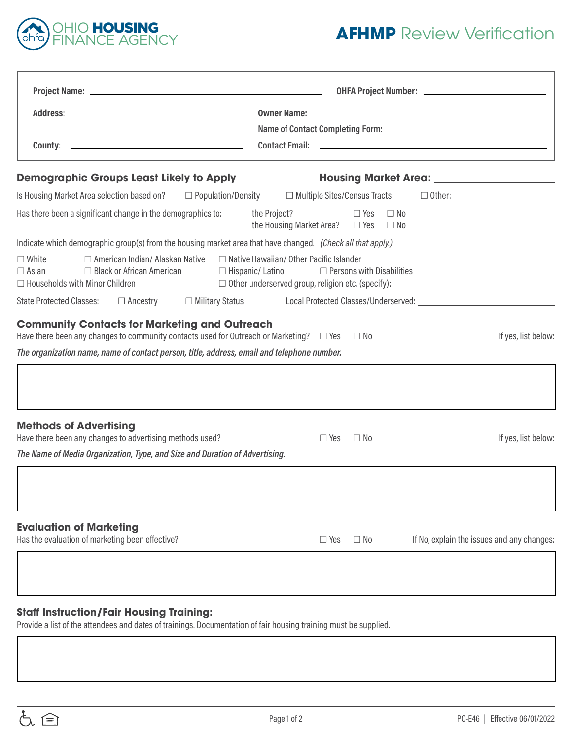

## **AFHMP** Review Verification

|                                                                                                                                                                                                                                                                                                | <b>Owner Name:</b>                                                                                                                             |
|------------------------------------------------------------------------------------------------------------------------------------------------------------------------------------------------------------------------------------------------------------------------------------------------|------------------------------------------------------------------------------------------------------------------------------------------------|
| <u> 1989 - Johann Stoff, amerikansk politiker (d. 1989)</u>                                                                                                                                                                                                                                    |                                                                                                                                                |
| <b>County:</b> 2008. <b>County:</b> 2008. <b>County:</b> 2008. <b>County:</b> 2008. <b>County:</b> 2008. <b>County:</b> 2008. <b>County:</b> 2008. <b>County:</b> 2008. <b>County:</b> 2008. <b>County:</b> 2008. <b>County:</b> 2008. <b>County:</b> 2008. <b>County: 2008. County: 2008.</b> |                                                                                                                                                |
| <b>Demographic Groups Least Likely to Apply</b>                                                                                                                                                                                                                                                |                                                                                                                                                |
| Is Housing Market Area selection based on?<br>$\Box$ Population/Density                                                                                                                                                                                                                        | $\Box$ Multiple Sites/Census Tracts                                                                                                            |
| Has there been a significant change in the demographics to:                                                                                                                                                                                                                                    | the Project?<br>$\Box$ Yes<br>$\Box$ No<br>the Housing Market Area? $\Box$ Yes<br>$\Box$ No                                                    |
| Indicate which demographic group(s) from the housing market area that have changed. (Check all that apply.)                                                                                                                                                                                    |                                                                                                                                                |
| □ American Indian/ Alaskan Native<br>$\Box$ White<br>□ Black or African American<br>$\Box$ Asian<br>$\Box$ Hispanic/ Latino<br>$\Box$ Households with Minor Children                                                                                                                           | $\Box$ Native Hawaiian/ Other Pacific Islander<br>$\Box$ Persons with Disabilities<br>$\Box$ Other underserved group, religion etc. (specify): |
| <b>State Protected Classes:</b><br>$\Box$ Ancestry                                                                                                                                                                                                                                             | $\Box$ Military Status Local Protected Classes/Underserved:                                                                                    |
| <b>Community Contacts for Marketing and Outreach</b><br>Have there been any changes to community contacts used for Outreach or Marketing? $\square$ Yes<br>The organization name, name of contact person, title, address, email and telephone number.                                          | If yes, list below:<br>$\Box$ No                                                                                                               |
| <b>Methods of Advertising</b><br>Have there been any changes to advertising methods used?                                                                                                                                                                                                      | If yes, list below:<br>$\Box$ Yes<br>$\Box$ No                                                                                                 |
| The Name of Media Organization, Type, and Size and Duration of Advertising.                                                                                                                                                                                                                    |                                                                                                                                                |
|                                                                                                                                                                                                                                                                                                |                                                                                                                                                |
| <b>Evaluation of Marketing</b><br>Has the evaluation of marketing been effective?                                                                                                                                                                                                              | If No, explain the issues and any changes:<br>$\Box$ Yes<br>$\Box$ No                                                                          |
|                                                                                                                                                                                                                                                                                                |                                                                                                                                                |
|                                                                                                                                                                                                                                                                                                |                                                                                                                                                |

## **Staff Instruction/Fair Housing Training:**

Provide a list of the attendees and dates of trainings. Documentation of fair housing training must be supplied.